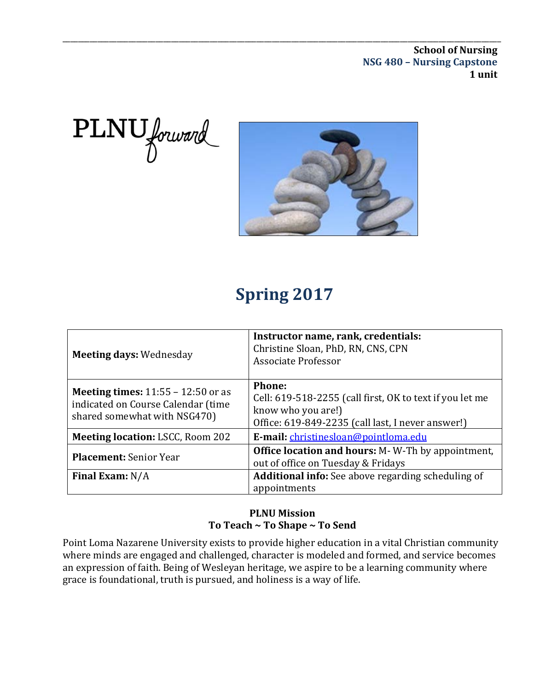\_\_\_\_\_\_\_\_\_\_\_\_\_\_\_\_\_\_\_\_\_\_\_\_\_\_\_\_\_\_\_\_\_\_\_\_\_\_\_\_\_\_\_\_\_\_\_\_\_\_\_\_\_\_\_\_\_\_\_\_\_\_\_\_\_\_\_\_\_\_\_\_\_\_\_\_\_\_\_\_\_\_\_\_\_\_\_\_\_\_\_\_\_\_\_\_\_\_\_\_\_\_\_\_\_\_\_\_\_\_\_\_\_ **School of Nursing NSG 480 – Nursing Capstone 1 unit**





# **Spring 2017**

| <b>Meeting days: Wednesday</b>                                                                                    | Instructor name, rank, credentials:<br>Christine Sloan, PhD, RN, CNS, CPN<br>Associate Professor                                              |
|-------------------------------------------------------------------------------------------------------------------|-----------------------------------------------------------------------------------------------------------------------------------------------|
| <b>Meeting times:</b> $11:55 - 12:50$ or as<br>indicated on Course Calendar (time<br>shared somewhat with NSG470) | Phone:<br>Cell: 619-518-2255 (call first, OK to text if you let me<br>know who you are!)<br>Office: 619-849-2235 (call last, I never answer!) |
| <b>Meeting location: LSCC, Room 202</b>                                                                           | E-mail: christinesloan@pointloma.edu                                                                                                          |
| Placement: Senior Year                                                                                            | <b>Office location and hours:</b> M-W-Th by appointment,<br>out of office on Tuesday & Fridays                                                |
| Final Exam: $N/A$                                                                                                 | <b>Additional info:</b> See above regarding scheduling of<br>appointments                                                                     |

#### **PLNU Mission To Teach ~ To Shape ~ To Send**

Point Loma Nazarene University exists to provide higher education in a vital Christian community where minds are engaged and challenged, character is modeled and formed, and service becomes an expression of faith. Being of Wesleyan heritage, we aspire to be a learning community where grace is foundational, truth is pursued, and holiness is a way of life.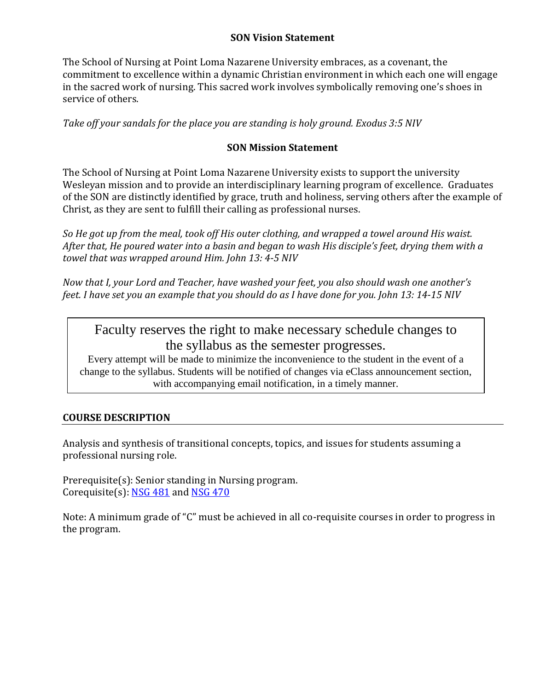#### **SON Vision Statement**

The School of Nursing at Point Loma Nazarene University embraces, as a covenant, the commitment to excellence within a dynamic Christian environment in which each one will engage in the sacred work of nursing. This sacred work involves symbolically removing one's shoes in service of others.

*Take off your sandals for the place you are standing is holy ground. Exodus 3:5 NIV* 

#### **SON Mission Statement**

The School of Nursing at Point Loma Nazarene University exists to support the university Wesleyan mission and to provide an interdisciplinary learning program of excellence. Graduates of the SON are distinctly identified by grace, truth and holiness, serving others after the example of Christ, as they are sent to fulfill their calling as professional nurses.

*So He got up from the meal, took off His outer clothing, and wrapped a towel around His waist. After that, He poured water into a basin and began to wash His disciple's feet, drying them with a towel that was wrapped around Him. John 13: 4-5 NIV* 

*Now that I, your Lord and Teacher, have washed your feet, you also should wash one another's feet. I have set you an example that you should do as I have done for you. John 13: 14-15 NIV* 

Faculty reserves the right to make necessary schedule changes to the syllabus as the semester progresses.<br>Every attempt will be made to minimize the inconvenience to the student in the event of a

change to the syllabus. Students will be notified of changes via eClass announcement section, with accompanying email notification, in a timely manner.

#### **COURSE DESCRIPTION**

Analysis and synthesis of transitional concepts, topics, and issues for students assuming a professional nursing role.

Prerequisite(s): Senior standing in Nursing program. Corequisite(s):  $NSG 481$  and  $NSG 470$ 

Note: A minimum grade of "C" must be achieved in all co-requisite courses in order to progress in the program.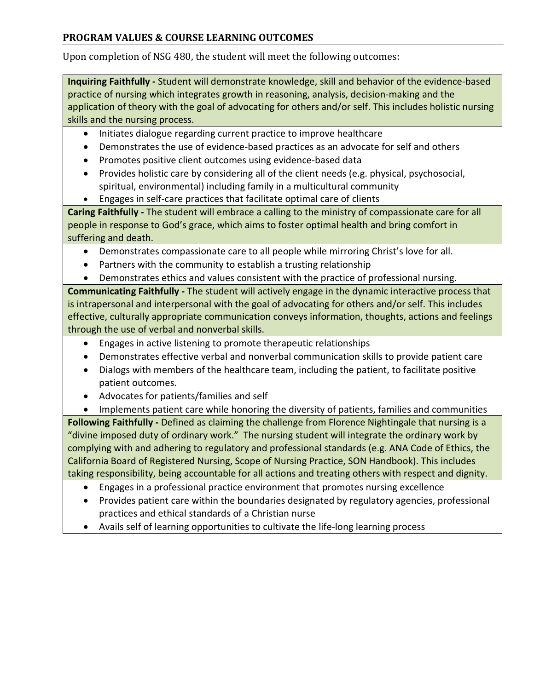#### **PROGRAM VALUES & COURSE LEARNING OUTCOMES**

Upon completion of NSG 480, the student will meet the following outcomes:

**Inquiring Faithfully -** Student will demonstrate knowledge, skill and behavior of the evidence-based practice of nursing which integrates growth in reasoning, analysis, decision-making and the application of theory with the goal of advocating for others and/or self. This includes holistic nursing skills and the nursing process.

- Initiates dialogue regarding current practice to improve healthcare
- Demonstrates the use of evidence-based practices as an advocate for self and others
- Promotes positive client outcomes using evidence-based data
- Provides holistic care by considering all of the client needs (e.g. physical, psychosocial, spiritual, environmental) including family in a multicultural community
- Engages in self-care practices that facilitate optimal care of clients

**Caring Faithfully -** The student will embrace a calling to the ministry of compassionate care for all people in response to God's grace, which aims to foster optimal health and bring comfort in suffering and death.

- Demonstrates compassionate care to all people while mirroring Christ's love for all.
- Partners with the community to establish a trusting relationship
- Demonstrates ethics and values consistent with the practice of professional nursing.

**Communicating Faithfully -** The student will actively engage in the dynamic interactive process that is intrapersonal and interpersonal with the goal of advocating for others and/or self. This includes effective, culturally appropriate communication conveys information, thoughts, actions and feelings through the use of verbal and nonverbal skills.

- Engages in active listening to promote therapeutic relationships
- Demonstrates effective verbal and nonverbal communication skills to provide patient care
- Dialogs with members of the healthcare team, including the patient, to facilitate positive patient outcomes.
- Advocates for patients/families and self

• Implements patient care while honoring the diversity of patients, families and communities

**Following Faithfully -** Defined as claiming the challenge from Florence Nightingale that nursing is a "divine imposed duty of ordinary work." The nursing student will integrate the ordinary work by complying with and adhering to regulatory and professional standards (e.g. ANA Code of Ethics, the California Board of Registered Nursing, Scope of Nursing Practice, SON Handbook). This includes taking responsibility, being accountable for all actions and treating others with respect and dignity.

- Engages in a professional practice environment that promotes nursing excellence
- Provides patient care within the boundaries designated by regulatory agencies, professional practices and ethical standards of a Christian nurse
- Avails self of learning opportunities to cultivate the life-long learning process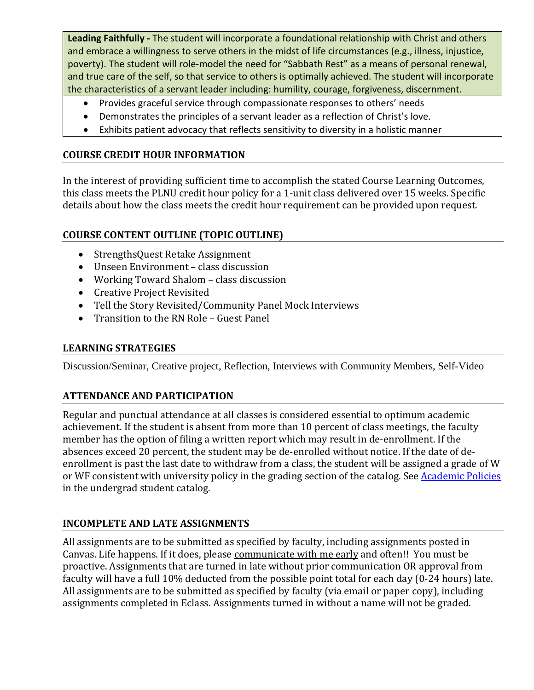**Leading Faithfully -** The student will incorporate a foundational relationship with Christ and others and embrace a willingness to serve others in the midst of life circumstances (e.g., illness, injustice, poverty). The student will role-model the need for "Sabbath Rest" as a means of personal renewal, and true care of the self, so that service to others is optimally achieved. The student will incorporate the characteristics of a servant leader including: humility, courage, forgiveness, discernment.

- Provides graceful service through compassionate responses to others' needs
- Demonstrates the principles of a servant leader as a reflection of Christ's love.
- Exhibits patient advocacy that reflects sensitivity to diversity in a holistic manner

#### **COURSE CREDIT HOUR INFORMATION**

In the interest of providing sufficient time to accomplish the stated Course Learning Outcomes, this class meets the PLNU credit hour policy for a 1-unit class delivered over 15 weeks. Specific details about how the class meets the credit hour requirement can be provided upon request.

#### **COURSE CONTENT OUTLINE (TOPIC OUTLINE)**

- StrengthsQuest Retake Assignment
- Unseen Environment class discussion
- Working Toward Shalom class discussion
- Creative Project Revisited
- Tell the Story Revisited/Community Panel Mock Interviews
- Transition to the RN Role Guest Panel

#### **LEARNING STRATEGIES**

Discussion/Seminar, Creative project, Reflection, Interviews with Community Members, Self-Video

#### **ATTENDANCE AND PARTICIPATION**

Regular and punctual attendance at all classes is considered essential to optimum academic achievement. If the student is absent from more than 10 percent of class meetings, the faculty member has the option of filing a written report which may result in de-enrollment. If the absences exceed 20 percent, the student may be de-enrolled without notice. If the date of deenrollment is past the last date to withdraw from a class, the student will be assigned a grade of W or WF consistent with university policy in the grading section of the catalog. See [Academic Policies](http://www.pointloma.edu/experience/academics/catalogs/undergraduate-catalog/point-loma-education/academic-policies) in the undergrad student catalog.

#### **INCOMPLETE AND LATE ASSIGNMENTS**

All assignments are to be submitted as specified by faculty, including assignments posted in Canvas. Life happens. If it does, please communicate with me early and often!! You must be proactive. Assignments that are turned in late without prior communication OR approval from faculty will have a full 10% deducted from the possible point total for each day (0-24 hours) late. All assignments are to be submitted as specified by faculty (via email or paper copy), including assignments completed in Eclass. Assignments turned in without a name will not be graded.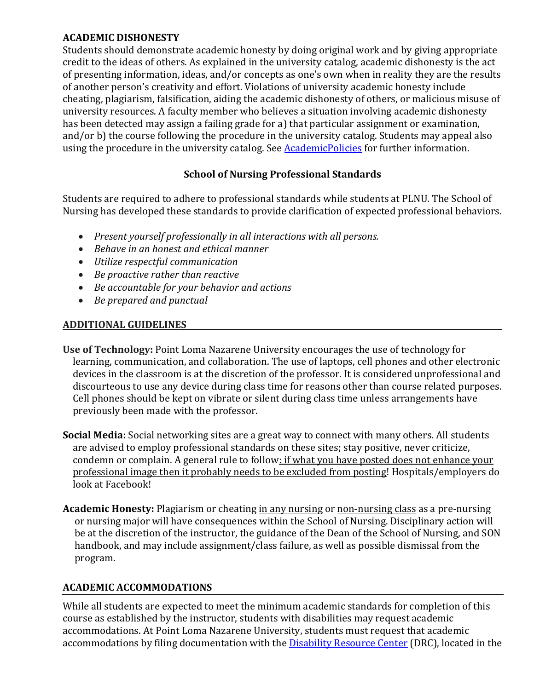#### **ACADEMIC DISHONESTY**

Students should demonstrate academic honesty by doing original work and by giving appropriate credit to the ideas of others. As explained in the university catalog, academic dishonesty is the act of presenting information, ideas, and/or concepts as one's own when in reality they are the results of another person's creativity and effort. Violations of university academic honesty include cheating, plagiarism, falsification, aiding the academic dishonesty of others, or malicious misuse of university resources. A faculty member who believes a situation involving academic dishonesty has been detected may assign a failing grade for a) that particular assignment or examination, and/or b) the course following the procedure in the university catalog. Students may appeal also using the procedure in the university catalog. See **AcademicPolicies** for further information.

#### **School of Nursing Professional Standards**

Students are required to adhere to professional standards while students at PLNU. The School of Nursing has developed these standards to provide clarification of expected professional behaviors.

- *Present yourself professionally in all interactions with all persons.*
- *Behave in an honest and ethical manner*
- *Utilize respectful communication*
- *Be proactive rather than reactive*
- *Be accountable for your behavior and actions*
- *Be prepared and punctual*

#### **ADDITIONAL GUIDELINES**

- **Use of Technology:** Point Loma Nazarene University encourages the use of technology for learning, communication, and collaboration. The use of laptops, cell phones and other electronic devices in the classroom is at the discretion of the professor. It is considered unprofessional and discourteous to use any device during class time for reasons other than course related purposes. Cell phones should be kept on vibrate or silent during class time unless arrangements have previously been made with the professor.
- **Social Media:** Social networking sites are a great way to connect with many others. All students are advised to employ professional standards on these sites; stay positive, never criticize, condemn or complain. A general rule to follow: if what you have posted does not enhance your professional image then it probably needs to be excluded from posting! Hospitals/employers do look at Facebook!
- **Academic Honesty:** Plagiarism or cheating in any nursing or non-nursing class as a pre-nursing or nursing major will have consequences within the School of Nursing. Disciplinary action will be at the discretion of the instructor, the guidance of the Dean of the School of Nursing, and SON handbook, and may include assignment/class failure, as well as possible dismissal from the program.

#### **ACADEMIC ACCOMMODATIONS**

While all students are expected to meet the minimum academic standards for completion of this course as established by the instructor, students with disabilities may request academic accommodations. At Point Loma Nazarene University, students must request that academic accommodations by filing documentation with th[e Disability Resource Center](http://www.pointloma.edu/experience/offices/administrative-offices/academic-advising-office/disability-resource-center) (DRC), located in the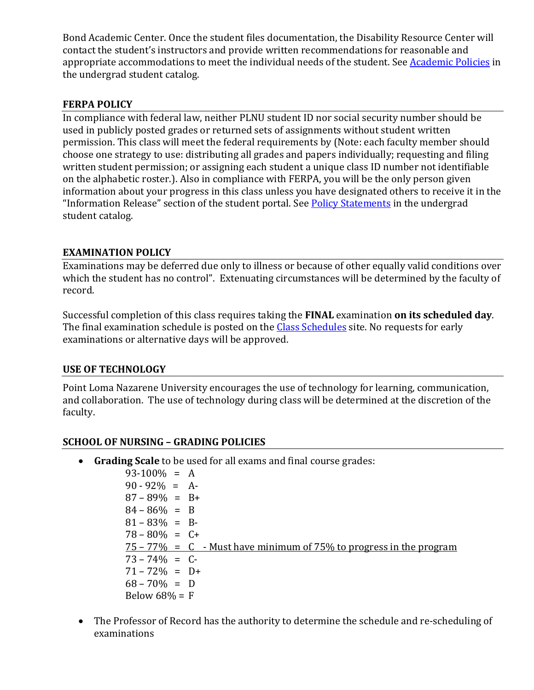Bond Academic Center. Once the student files documentation, the Disability Resource Center will contact the student's instructors and provide written recommendations for reasonable and appropriate accommodations to meet the individual needs of the student. See [Academic Policies](http://www.pointloma.edu/experience/academics/catalogs/undergraduate-catalog/point-loma-education/academic-policies) in the undergrad student catalog.

#### **FERPA POLICY**

In compliance with federal law, neither PLNU student ID nor social security number should be used in publicly posted grades or returned sets of assignments without student written permission. This class will meet the federal requirements by (Note: each faculty member should choose one strategy to use: distributing all grades and papers individually; requesting and filing written student permission; or assigning each student a unique class ID number not identifiable on the alphabetic roster.). Also in compliance with FERPA, you will be the only person given information about your progress in this class unless you have designated others to receive it in the "Information Release" section of the student portal. See [Policy Statements](http://www.pointloma.edu/experience/academics/catalogs/undergraduate-catalog/policy-statements) in the undergrad student catalog.

#### **EXAMINATION POLICY**

Examinations may be deferred due only to illness or because of other equally valid conditions over which the student has no control". Extenuating circumstances will be determined by the faculty of record.

Successful completion of this class requires taking the **FINAL** examination **on its scheduled day**. The final examination schedule is posted on the [Class Schedules](http://www.pointloma.edu/experience/academics/class-schedules) site. No requests for early examinations or alternative days will be approved.

#### **USE OF TECHNOLOGY**

Point Loma Nazarene University encourages the use of technology for learning, communication, and collaboration. The use of technology during class will be determined at the discretion of the faculty.

#### **SCHOOL OF NURSING – GRADING POLICIES**

• **Grading Scale** to be used for all exams and final course grades:

 $93-100\% = A$  $90 - 92\% = A$  $87 - 89\% = B +$  $84 - 86\% = B$  $81 - 83\% = B$  $78 - 80\% = C +$  $75 - 77\% = C$  - Must have minimum of 75% to progress in the program  $73 - 74\% = C$  $71 - 72\% = D +$  $68 - 70\% = D$ Below  $68% = F$ 

• The Professor of Record has the authority to determine the schedule and re-scheduling of examinations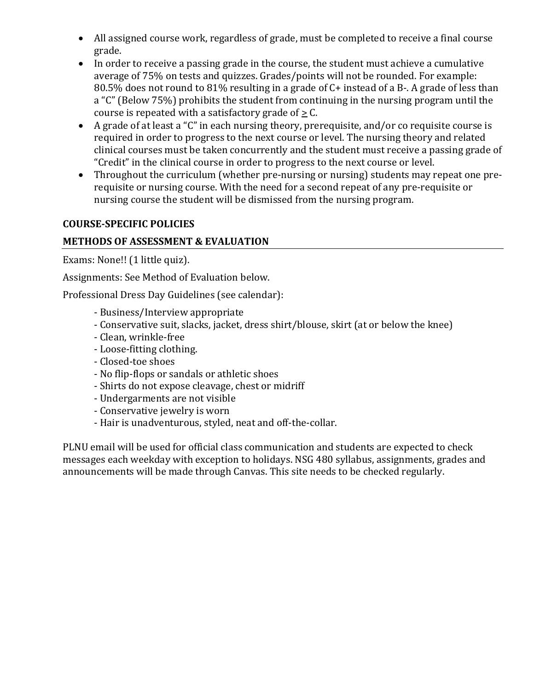- All assigned course work, regardless of grade, must be completed to receive a final course grade.
- In order to receive a passing grade in the course, the student must achieve a cumulative average of 75% on tests and quizzes. Grades/points will not be rounded. For example: 80.5% does not round to 81% resulting in a grade of C+ instead of a B-. A grade of less than a "C" (Below 75%) prohibits the student from continuing in the nursing program until the course is repeated with a satisfactory grade of  $\geq$  C.
- A grade of at least a "C" in each nursing theory, prerequisite, and/or co requisite course is required in order to progress to the next course or level. The nursing theory and related clinical courses must be taken concurrently and the student must receive a passing grade of "Credit" in the clinical course in order to progress to the next course or level.
- Throughout the curriculum (whether pre-nursing or nursing) students may repeat one prerequisite or nursing course. With the need for a second repeat of any pre-requisite or nursing course the student will be dismissed from the nursing program.

#### **COURSE-SPECIFIC POLICIES**

#### **METHODS OF ASSESSMENT & EVALUATION**

Exams: None!! (1 little quiz).

Assignments: See Method of Evaluation below.

Professional Dress Day Guidelines (see calendar):

- Business/Interview appropriate
- Conservative suit, slacks, jacket, dress shirt/blouse, skirt (at or below the knee)
- Clean, wrinkle-free
- Loose-fitting clothing.
- Closed-toe shoes
- No flip-flops or sandals or athletic shoes
- Shirts do not expose cleavage, chest or midriff
- Undergarments are not visible
- Conservative jewelry is worn
- Hair is unadventurous, styled, neat and off-the-collar.

PLNU email will be used for official class communication and students are expected to check messages each weekday with exception to holidays. NSG 480 syllabus, assignments, grades and announcements will be made through Canvas. This site needs to be checked regularly.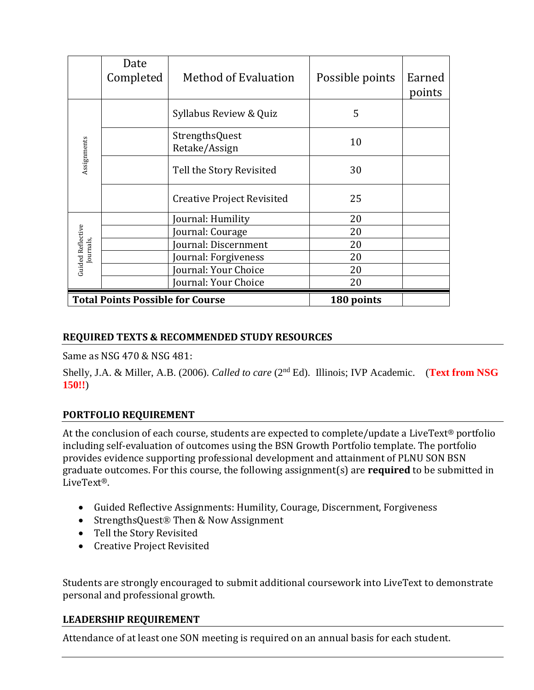|                          | Date<br>Completed                       | <b>Method of Evaluation</b>     | Possible points | Earned<br>points |
|--------------------------|-----------------------------------------|---------------------------------|-----------------|------------------|
|                          |                                         | Syllabus Review & Quiz          | 5               |                  |
| Assignments              |                                         | StrengthsQuest<br>Retake/Assign | 10              |                  |
|                          |                                         | Tell the Story Revisited        | 30              |                  |
|                          |                                         | Creative Project Revisited      | 25              |                  |
|                          |                                         | Journal: Humility               | 20              |                  |
| <b>Guided Reflective</b> |                                         | Journal: Courage                | 20              |                  |
|                          |                                         | Journal: Discernment            | 20              |                  |
| Journals,                |                                         | Journal: Forgiveness            | 20              |                  |
|                          |                                         | Journal: Your Choice            | 20              |                  |
|                          |                                         | Journal: Your Choice            | 20              |                  |
|                          | <b>Total Points Possible for Course</b> |                                 | 180 points      |                  |

#### **REQUIRED TEXTS & RECOMMENDED STUDY RESOURCES**

Same as NSG 470 & NSG 481:

Shelly, J.A. & Miller, A.B. (2006). *Called to care* (2<sup>nd</sup> Ed). Illinois; IVP Academic. (Text from NSG **150!!**)

#### **PORTFOLIO REQUIREMENT**

At the conclusion of each course, students are expected to complete/update a LiveText® portfolio including self-evaluation of outcomes using the BSN Growth Portfolio template. The portfolio provides evidence supporting professional development and attainment of PLNU SON BSN graduate outcomes. For this course, the following assignment(s) are **required** to be submitted in LiveText®.

- Guided Reflective Assignments: Humility, Courage, Discernment, Forgiveness
- StrengthsQuest<sup>®</sup> Then & Now Assignment
- Tell the Story Revisited
- Creative Project Revisited

Students are strongly encouraged to submit additional coursework into LiveText to demonstrate personal and professional growth.

#### **LEADERSHIP REQUIREMENT**

Attendance of at least one SON meeting is required on an annual basis for each student.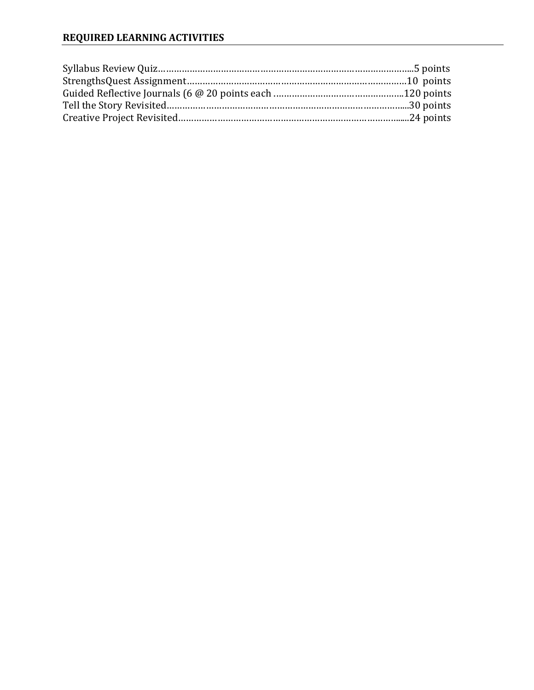#### **REQUIRED LEARNING ACTIVITIES**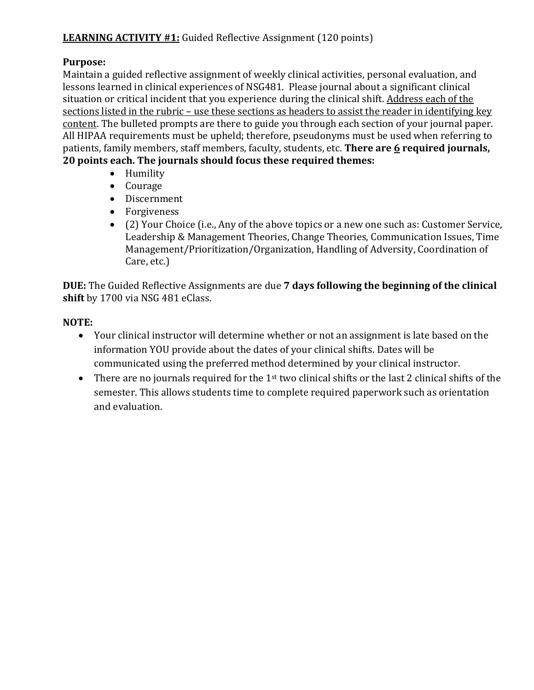#### **LEARNING ACTIVITY #1:** Guided Reflective Assignment (120 points)

#### **Purpose:**

Maintain a guided reflective assignment of weekly clinical activities, personal evaluation, and lessons learned in clinical experiences of NSG481. Please journal about a significant clinical situation or critical incident that you experience during the clinical shift. Address each of the sections listed in the rubric – use these sections as headers to assist the reader in identifying key content. The bulleted prompts are there to guide you through each section of your journal paper. All HIPAA requirements must be upheld; therefore, pseudonyms must be used when referring to patients, family members, staff members, faculty, students, etc. **There are 6 required journals, 20 points each. The journals should focus these required themes:** 

- Humility
- Courage
- Discernment
- Forgiveness
- (2) Your Choice (i.e., Any of the above topics or a new one such as: Customer Service, Leadership & Management Theories, Change Theories, Communication Issues, Time Management/Prioritization/Organization, Handling of Adversity, Coordination of Care, etc.)

**DUE:** The Guided Reflective Assignments are due **7 days following the beginning of the clinical shift** by 1700 via NSG 481 eClass.

#### **NOTE:**

- Your clinical instructor will determine whether or not an assignment is late based on the information YOU provide about the dates of your clinical shifts. Dates will be communicated using the preferred method determined by your clinical instructor.
- There are no journals required for the  $1<sup>st</sup>$  two clinical shifts or the last 2 clinical shifts of the semester. This allows students time to complete required paperwork such as orientation and evaluation.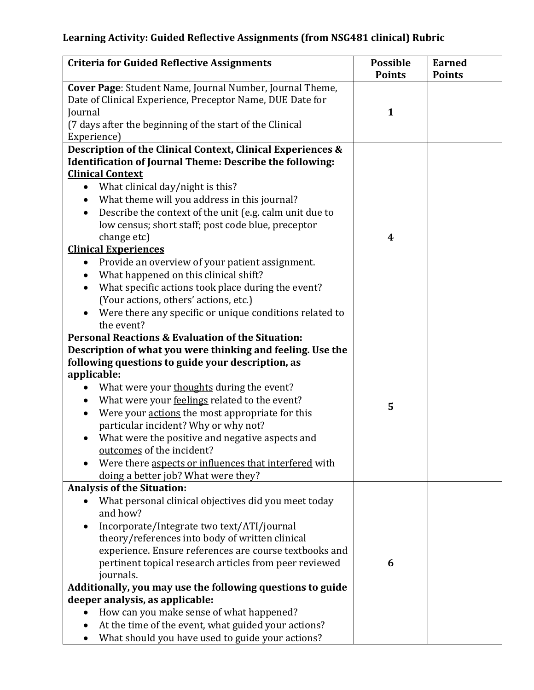# **Learning Activity: Guided Reflective Assignments (from NSG481 clinical) Rubric**

| <b>Criteria for Guided Reflective Assignments</b>                                                                                                                                                                                                                                                                                                                                                                                                                                                                                                                                                                                                                                                                                    | <b>Possible</b><br><b>Points</b> | <b>Earned</b><br><b>Points</b> |
|--------------------------------------------------------------------------------------------------------------------------------------------------------------------------------------------------------------------------------------------------------------------------------------------------------------------------------------------------------------------------------------------------------------------------------------------------------------------------------------------------------------------------------------------------------------------------------------------------------------------------------------------------------------------------------------------------------------------------------------|----------------------------------|--------------------------------|
| Cover Page: Student Name, Journal Number, Journal Theme,<br>Date of Clinical Experience, Preceptor Name, DUE Date for<br>Journal<br>(7 days after the beginning of the start of the Clinical<br>Experience)                                                                                                                                                                                                                                                                                                                                                                                                                                                                                                                          | $\mathbf{1}$                     |                                |
| Description of the Clinical Context, Clinical Experiences &<br><b>Identification of Journal Theme: Describe the following:</b><br><b>Clinical Context</b><br>What clinical day/night is this?<br>$\bullet$<br>What theme will you address in this journal?<br>$\bullet$<br>Describe the context of the unit (e.g. calm unit due to<br>$\bullet$<br>low census; short staff; post code blue, preceptor<br>change etc)<br><b>Clinical Experiences</b><br>Provide an overview of your patient assignment.<br>$\bullet$<br>What happened on this clinical shift?<br>What specific actions took place during the event?<br>(Your actions, others' actions, etc.)<br>Were there any specific or unique conditions related to<br>the event? | 4                                |                                |
| <b>Personal Reactions &amp; Evaluation of the Situation:</b><br>Description of what you were thinking and feeling. Use the<br>following questions to guide your description, as<br>applicable:<br>What were your thoughts during the event?<br>What were your feelings related to the event?<br>$\bullet$<br>Were your actions the most appropriate for this<br>particular incident? Why or why not?<br>What were the positive and negative aspects and<br>outcomes of the incident?<br>Were there aspects or influences that interfered with<br>doing a better job? What were they?                                                                                                                                                 | 5                                |                                |
| <b>Analysis of the Situation:</b><br>What personal clinical objectives did you meet today<br>and how?<br>Incorporate/Integrate two text/ATI/journal<br>theory/references into body of written clinical<br>experience. Ensure references are course textbooks and<br>pertinent topical research articles from peer reviewed<br>journals.<br>Additionally, you may use the following questions to guide<br>deeper analysis, as applicable:<br>How can you make sense of what happened?<br>At the time of the event, what guided your actions?<br>What should you have used to guide your actions?                                                                                                                                      | 6                                |                                |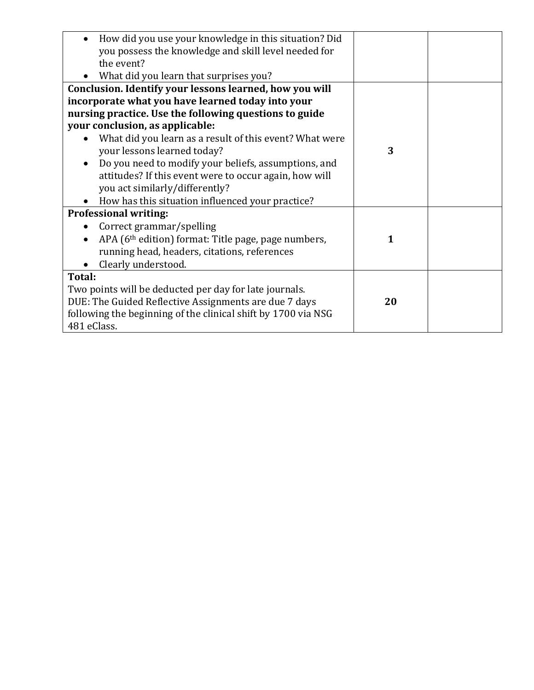| How did you use your knowledge in this situation? Did           |    |  |
|-----------------------------------------------------------------|----|--|
| you possess the knowledge and skill level needed for            |    |  |
| the event?                                                      |    |  |
| What did you learn that surprises you?                          |    |  |
| Conclusion. Identify your lessons learned, how you will         |    |  |
| incorporate what you have learned today into your               |    |  |
| nursing practice. Use the following questions to guide          |    |  |
| your conclusion, as applicable:                                 |    |  |
| What did you learn as a result of this event? What were         |    |  |
| your lessons learned today?                                     | 3  |  |
| Do you need to modify your beliefs, assumptions, and            |    |  |
| attitudes? If this event were to occur again, how will          |    |  |
| you act similarly/differently?                                  |    |  |
| How has this situation influenced your practice?                |    |  |
| <b>Professional writing:</b>                                    |    |  |
| Correct grammar/spelling                                        |    |  |
| APA (6 <sup>th</sup> edition) format: Title page, page numbers, | 1  |  |
| running head, headers, citations, references                    |    |  |
| Clearly understood.                                             |    |  |
| Total:                                                          |    |  |
| Two points will be deducted per day for late journals.          |    |  |
| DUE: The Guided Reflective Assignments are due 7 days           | 20 |  |
| following the beginning of the clinical shift by 1700 via NSG   |    |  |
| 481 eClass.                                                     |    |  |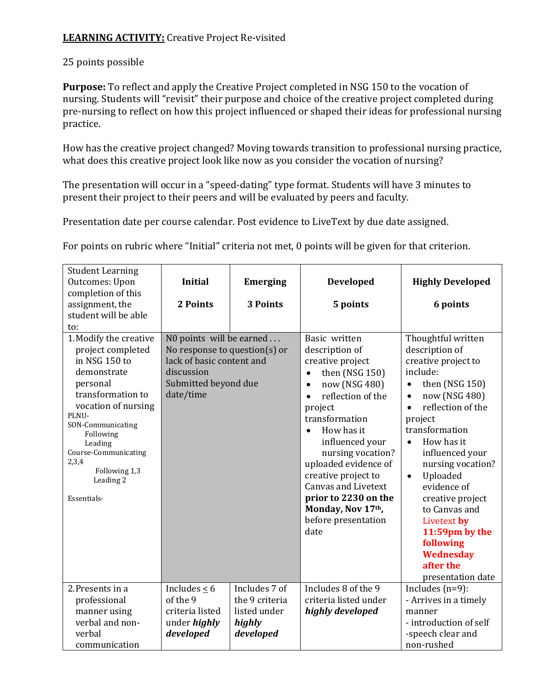#### **LEARNING ACTIVITY:** Creative Project Re-visited

#### 25 points possible

**Purpose:** To reflect and apply the Creative Project completed in NSG 150 to the vocation of nursing. Students will "revisit" their purpose and choice of the creative project completed during pre-nursing to reflect on how this project influenced or shaped their ideas for professional nursing practice.

How has the creative project changed? Moving towards transition to professional nursing practice, what does this creative project look like now as you consider the vocation of nursing?

The presentation will occur in a "speed-dating" type format. Students will have 3 minutes to present their project to their peers and will be evaluated by peers and faculty.

Presentation date per course calendar. Post evidence to LiveText by due date assigned.

For points on rubric where "Initial" criteria not met, 0 points will be given for that criterion.

| <b>Student Learning</b><br>Outcomes: Upon<br>completion of this<br>assignment, the                                                                                                                                                                                      | <b>Initial</b><br>2 Points                                                                                                                | <b>Emerging</b><br>3 Points         | <b>Developed</b><br>5 points                                                                                                                                                                                                                                                                                                                                                                                | <b>Highly Developed</b><br>6 points                                                                                                                                                                                                                                                                                                                                                                                                        |
|-------------------------------------------------------------------------------------------------------------------------------------------------------------------------------------------------------------------------------------------------------------------------|-------------------------------------------------------------------------------------------------------------------------------------------|-------------------------------------|-------------------------------------------------------------------------------------------------------------------------------------------------------------------------------------------------------------------------------------------------------------------------------------------------------------------------------------------------------------------------------------------------------------|--------------------------------------------------------------------------------------------------------------------------------------------------------------------------------------------------------------------------------------------------------------------------------------------------------------------------------------------------------------------------------------------------------------------------------------------|
| student will be able<br>to:                                                                                                                                                                                                                                             |                                                                                                                                           |                                     |                                                                                                                                                                                                                                                                                                                                                                                                             |                                                                                                                                                                                                                                                                                                                                                                                                                                            |
| 1. Modify the creative<br>project completed<br>in NSG 150 to<br>demonstrate<br>personal<br>transformation to<br>vocation of nursing<br>PLNU-<br>SON-Communicating<br>Following<br>Leading<br>Course-Communicating<br>2,3,4<br>Following 1,3<br>Leading 2<br>Essentials- | N0 points will be earned<br>No response to question(s) or<br>lack of basic content and<br>discussion<br>Submitted beyond due<br>date/time |                                     | Basic written<br>description of<br>creative project<br>then (NSG 150)<br>$\bullet$<br>now (NSG 480)<br>$\bullet$<br>reflection of the<br>$\bullet$<br>project<br>transformation<br>How has it<br>$\bullet$<br>influenced your<br>nursing vocation?<br>uploaded evidence of<br>creative project to<br><b>Canvas and Livetext</b><br>prior to 2230 on the<br>Monday, Nov 17th,<br>before presentation<br>date | Thoughtful written<br>description of<br>creative project to<br>include:<br>then (NSG 150)<br>now (NSG 480)<br>$\bullet$<br>reflection of the<br>$\bullet$<br>project<br>transformation<br>How has it<br>$\bullet$<br>influenced your<br>nursing vocation?<br>Uploaded<br>$\bullet$<br>evidence of<br>creative project<br>to Canvas and<br>Livetext by<br>11:59pm by the<br>following<br><b>Wednesday</b><br>after the<br>presentation date |
| 2. Presents in a<br>professional                                                                                                                                                                                                                                        | Includes $\leq 6$<br>of the 9                                                                                                             | Includes 7 of<br>the 9 criteria     | Includes 8 of the 9<br>criteria listed under                                                                                                                                                                                                                                                                                                                                                                | Includes $(n=9)$ :<br>- Arrives in a timely                                                                                                                                                                                                                                                                                                                                                                                                |
| manner using<br>verbal and non-<br>verbal<br>communication                                                                                                                                                                                                              | criteria listed<br>under highly<br>developed                                                                                              | listed under<br>highly<br>developed | highly developed                                                                                                                                                                                                                                                                                                                                                                                            | manner<br>- introduction of self<br>-speech clear and<br>non-rushed                                                                                                                                                                                                                                                                                                                                                                        |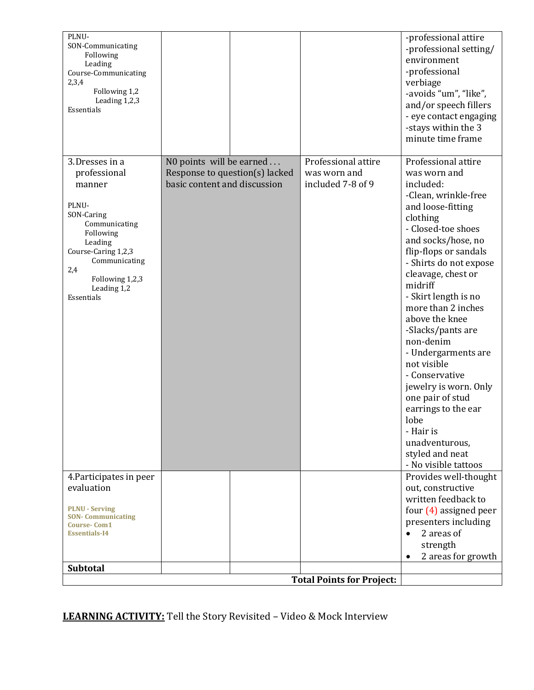| evaluation                      |                                |                     | out, constructive      |
|---------------------------------|--------------------------------|---------------------|------------------------|
| 4. Participates in peer         |                                |                     | Provides well-thought  |
|                                 |                                |                     | - No visible tattoos   |
|                                 |                                |                     | styled and neat        |
|                                 |                                |                     | unadventurous,         |
|                                 |                                |                     | - Hair is              |
|                                 |                                |                     | lobe                   |
|                                 |                                |                     | earrings to the ear    |
|                                 |                                |                     | one pair of stud       |
|                                 |                                |                     | jewelry is worn. Only  |
|                                 |                                |                     | - Conservative         |
|                                 |                                |                     | not visible            |
|                                 |                                |                     | - Undergarments are    |
|                                 |                                |                     | non-denim              |
|                                 |                                |                     | -Slacks/pants are      |
|                                 |                                |                     | above the knee         |
|                                 |                                |                     | more than 2 inches     |
| Essentials                      |                                |                     | - Skirt length is no   |
| Leading 1,2                     |                                |                     | midriff                |
| Following 1,2,3                 |                                |                     | cleavage, chest or     |
| Communicating<br>2,4            |                                |                     | - Shirts do not expose |
| Course-Caring 1,2,3             |                                |                     | flip-flops or sandals  |
| Leading                         |                                |                     | and socks/hose, no     |
| Following                       |                                |                     | - Closed-toe shoes     |
| Communicating                   |                                |                     | clothing               |
| SON-Caring                      |                                |                     | and loose-fitting      |
| PLNU-                           |                                |                     | -Clean, wrinkle-free   |
| manner                          | basic content and discussion   | included 7-8 of 9   | included:              |
| professional                    | Response to question(s) lacked | was worn and        | was worn and           |
| 3.Dresses in a                  | N0 points will be earned       | Professional attire | Professional attire    |
|                                 |                                |                     |                        |
|                                 |                                |                     |                        |
|                                 |                                |                     | minute time frame      |
|                                 |                                |                     | -stays within the 3    |
| Essentials                      |                                |                     | - eye contact engaging |
| Leading 1,2,3                   |                                |                     | and/or speech fillers  |
| Following 1,2                   |                                |                     | -avoids "um", "like",  |
| 2,3,4                           |                                |                     | verbiage               |
| Leading<br>Course-Communicating |                                |                     | -professional          |
| Following                       |                                |                     | environment            |
| SON-Communicating               |                                |                     | -professional setting/ |
| PLNU-                           |                                |                     | -professional attire   |

**LEARNING ACTIVITY:** Tell the Story Revisited – Video & Mock Interview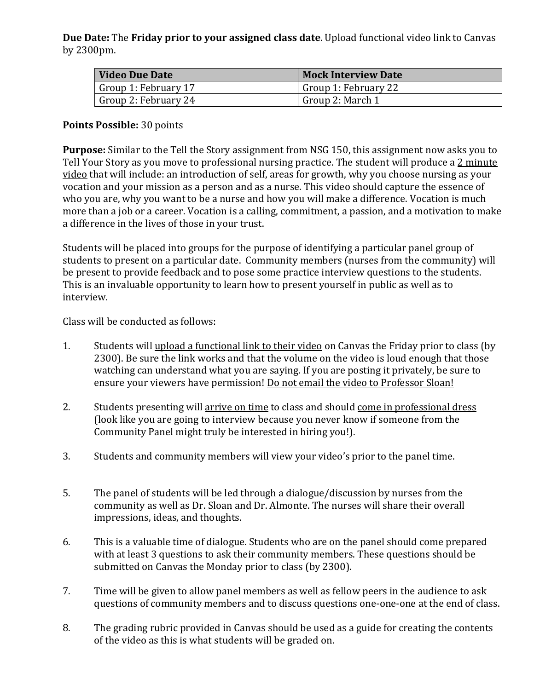**Due Date:** The **Friday prior to your assigned class date**. Upload functional video link to Canvas by 2300pm.

| <b>Video Due Date</b> | <b>Mock Interview Date</b> |
|-----------------------|----------------------------|
| Group 1: February 17  | Group 1: February 22       |
| Group 2: February 24  | Group 2: March 1           |

#### **Points Possible:** 30 points

**Purpose:** Similar to the Tell the Story assignment from NSG 150, this assignment now asks you to Tell Your Story as you move to professional nursing practice. The student will produce a 2 minute video that will include: an introduction of self, areas for growth, why you choose nursing as your vocation and your mission as a person and as a nurse. This video should capture the essence of who you are, why you want to be a nurse and how you will make a difference. Vocation is much more than a job or a career. Vocation is a calling, commitment, a passion, and a motivation to make a difference in the lives of those in your trust.

Students will be placed into groups for the purpose of identifying a particular panel group of students to present on a particular date. Community members (nurses from the community) will be present to provide feedback and to pose some practice interview questions to the students. This is an invaluable opportunity to learn how to present yourself in public as well as to interview.

Class will be conducted as follows:

- 1. Students will upload a functional link to their video on Canvas the Friday prior to class (by 2300). Be sure the link works and that the volume on the video is loud enough that those watching can understand what you are saying. If you are posting it privately, be sure to ensure your viewers have permission! Do not email the video to Professor Sloan!
- 2. Students presenting will arrive on time to class and should come in professional dress (look like you are going to interview because you never know if someone from the Community Panel might truly be interested in hiring you!).
- 3. Students and community members will view your video's prior to the panel time.
- 5. The panel of students will be led through a dialogue/discussion by nurses from the community as well as Dr. Sloan and Dr. Almonte. The nurses will share their overall impressions, ideas, and thoughts.
- 6. This is a valuable time of dialogue. Students who are on the panel should come prepared with at least 3 questions to ask their community members. These questions should be submitted on Canvas the Monday prior to class (by 2300).
- 7. Time will be given to allow panel members as well as fellow peers in the audience to ask questions of community members and to discuss questions one-one-one at the end of class.
- 8. The grading rubric provided in Canvas should be used as a guide for creating the contents of the video as this is what students will be graded on.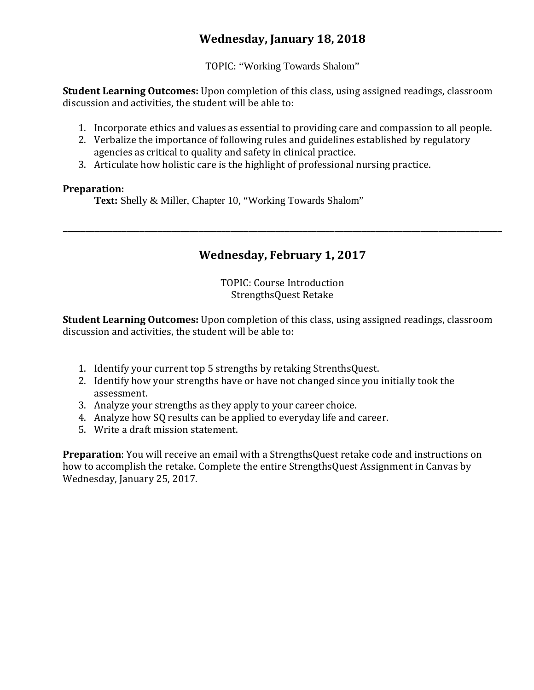# **Wednesday, January 18, 2018**

TOPIC: "Working Towards Shalom"

**Student Learning Outcomes:** Upon completion of this class, using assigned readings, classroom discussion and activities, the student will be able to:

- 1. Incorporate ethics and values as essential to providing care and compassion to all people.
- 2. Verbalize the importance of following rules and guidelines established by regulatory agencies as critical to quality and safety in clinical practice.
- 3. Articulate how holistic care is the highlight of professional nursing practice.

#### **Preparation:**

**Text:** Shelly & Miller, Chapter 10, "Working Towards Shalom"

# **Wednesday, February 1, 2017**

**\_\_\_\_\_\_\_\_\_\_\_\_\_\_\_\_\_\_\_\_\_\_\_\_\_\_\_\_\_\_\_\_\_\_\_\_\_\_\_\_\_\_\_\_\_\_\_\_\_\_\_\_\_\_\_\_\_\_\_\_\_\_\_\_\_\_\_\_\_\_\_\_\_\_\_\_\_\_\_\_\_\_\_\_\_\_\_\_\_\_\_\_\_\_\_\_\_**

TOPIC: Course Introduction StrengthsQuest Retake

**Student Learning Outcomes:** Upon completion of this class, using assigned readings, classroom discussion and activities, the student will be able to:

- 1. Identify your current top 5 strengths by retaking StrenthsQuest.
- 2. Identify how your strengths have or have not changed since you initially took the assessment.
- 3. Analyze your strengths as they apply to your career choice.
- 4. Analyze how SQ results can be applied to everyday life and career.
- 5. Write a draft mission statement.

**Preparation**: You will receive an email with a StrengthsQuest retake code and instructions on how to accomplish the retake. Complete the entire StrengthsQuest Assignment in Canvas by Wednesday, January 25, 2017.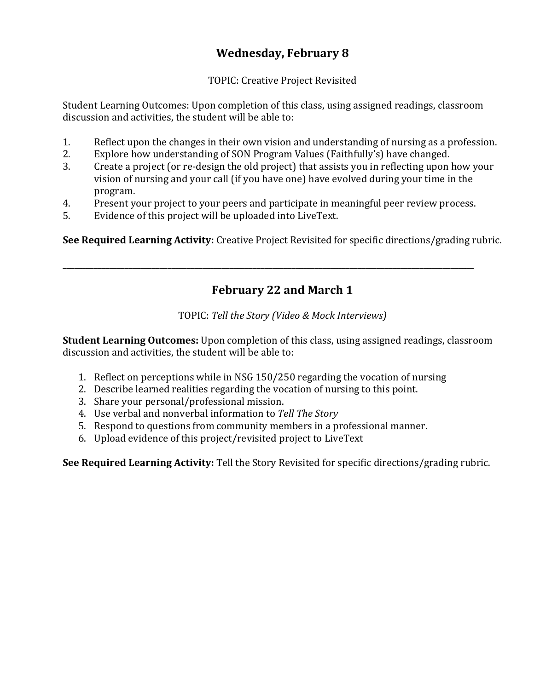# **Wednesday, February 8**

TOPIC: Creative Project Revisited

Student Learning Outcomes: Upon completion of this class, using assigned readings, classroom discussion and activities, the student will be able to:

- 1. Reflect upon the changes in their own vision and understanding of nursing as a profession.<br>2. Explore how understanding of SON Program Values (Faithfully's) have changed.
- 2. Explore how understanding of SON Program Values (Faithfully's) have changed.<br>3. Create a project (or re-design the old project) that assists you in reflecting upon
- 3. Create a project (or re-design the old project) that assists you in reflecting upon how your vision of nursing and your call (if you have one) have evolved during your time in the program.
- 4. Present your project to your peers and participate in meaningful peer review process.<br>5. Evidence of this project will be uploaded into LiveText.

**\_\_\_\_\_\_\_\_\_\_\_\_\_\_\_\_\_\_\_\_\_\_\_\_\_\_\_\_\_\_\_\_\_\_\_\_\_\_\_\_\_\_\_\_\_\_\_\_\_\_\_\_\_\_\_\_\_\_\_\_\_\_\_\_\_\_\_\_\_\_\_\_\_\_\_\_\_\_\_\_\_\_\_\_\_\_\_\_\_\_\_\_\_\_\_\_\_\_\_\_\_\_\_\_\_\_**

Evidence of this project will be uploaded into LiveText.

**See Required Learning Activity:** Creative Project Revisited for specific directions/grading rubric.

# **February 22 and March 1**

TOPIC: *Tell the Story (Video & Mock Interviews)*

**Student Learning Outcomes:** Upon completion of this class, using assigned readings, classroom discussion and activities, the student will be able to:

- 1. Reflect on perceptions while in NSG 150/250 regarding the vocation of nursing
- 2. Describe learned realities regarding the vocation of nursing to this point.
- 3. Share your personal/professional mission.
- 4. Use verbal and nonverbal information to *Tell The Story*
- 5. Respond to questions from community members in a professional manner.
- 6. Upload evidence of this project/revisited project to LiveText

**See Required Learning Activity:** Tell the Story Revisited for specific directions/grading rubric.